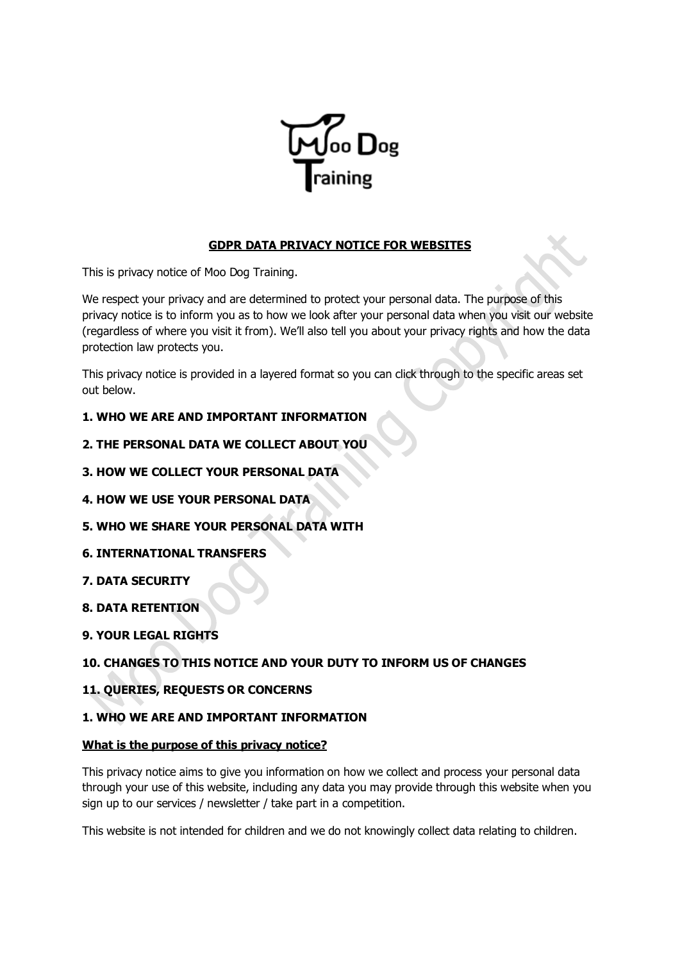

# **GDPR DATA PRIVACY NOTICE FOR WEBSITES**

This is privacy notice of Moo Dog Training.

We respect your privacy and are determined to protect your personal data. The purpose of this privacy notice is to inform you as to how we look after your personal data when you visit our website (regardless of where you visit it from). We'll also tell you about your privacy rights and how the data protection law protects you.

This privacy notice is provided in a layered format so you can click through to the specific areas set out below.

## **1. WHO WE ARE AND IMPORTANT INFORMATION**

- **2. THE PERSONAL DATA WE COLLECT ABOUT YOU**
- **3. HOW WE COLLECT YOUR PERSONAL DATA**
- **4. HOW WE USE YOUR PERSONAL DATA**
- **5. WHO WE SHARE YOUR PERSONAL DATA WITH**
- **6. INTERNATIONAL TRANSFERS**
- **7. DATA SECURITY**
- **8. DATA RETENTION**
- **9. YOUR LEGAL RIGHTS**

## **10. CHANGES TO THIS NOTICE AND YOUR DUTY TO INFORM US OF CHANGES**

**11. QUERIES, REQUESTS OR CONCERNS**

#### **1. WHO WE ARE AND IMPORTANT INFORMATION**

#### **What is the purpose of this privacy notice?**

This privacy notice aims to give you information on how we collect and process your personal data through your use of this website, including any data you may provide through this website when you sign up to our services / newsletter / take part in a competition.

This website is not intended for children and we do not knowingly collect data relating to children.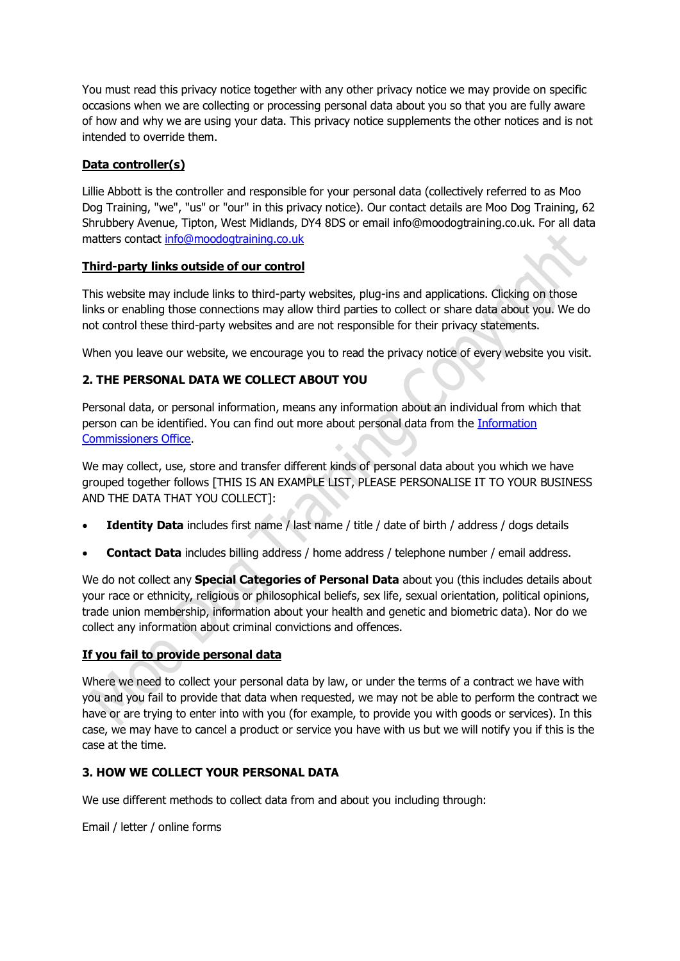You must read this privacy notice together with any other privacy notice we may provide on specific occasions when we are collecting or processing personal data about you so that you are fully aware of how and why we are using your data. This privacy notice supplements the other notices and is not intended to override them.

# **Data controller(s)**

Lillie Abbott is the controller and responsible for your personal data (collectively referred to as Moo Dog Training, "we", "us" or "our" in this privacy notice). Our contact details are Moo Dog Training, 62 Shrubbery Avenue, Tipton, West Midlands, DY4 8DS or email info@moodogtraining.co.uk. For all data matters contact [info@moodogtraining.co.uk](mailto:info@moodogtraining.co.uk)

### **Third-party links outside of our control**

This website may include links to third-party websites, plug-ins and applications. Clicking on those links or enabling those connections may allow third parties to collect or share data about you. We do not control these third-party websites and are not responsible for their privacy statements.

When you leave our website, we encourage you to read the privacy notice of every website you visit.

## **2. THE PERSONAL DATA WE COLLECT ABOUT YOU**

Personal data, or personal information, means any information about an individual from which that person can be identified. You can find out more about personal data from the [Information](https://ico.org.uk/global/contact-us/)  [Commissioners Office.](https://ico.org.uk/global/contact-us/)

We may collect, use, store and transfer different kinds of personal data about you which we have grouped together follows [THIS IS AN EXAMPLE LIST, PLEASE PERSONALISE IT TO YOUR BUSINESS AND THE DATA THAT YOU COLLECT]:

- **Identity Data** includes first name / last name / title / date of birth / address / dogs details
- **Contact Data** includes billing address / home address / telephone number / email address.

We do not collect any **Special Categories of Personal Data** about you (this includes details about your race or ethnicity, religious or philosophical beliefs, sex life, sexual orientation, political opinions, trade union membership, information about your health and genetic and biometric data). Nor do we collect any information about criminal convictions and offences.

## **If you fail to provide personal data**

Where we need to collect your personal data by law, or under the terms of a contract we have with you and you fail to provide that data when requested, we may not be able to perform the contract we have or are trying to enter into with you (for example, to provide you with goods or services). In this case, we may have to cancel a product or service you have with us but we will notify you if this is the case at the time.

#### **3. HOW WE COLLECT YOUR PERSONAL DATA**

We use different methods to collect data from and about you including through:

Email / letter / online forms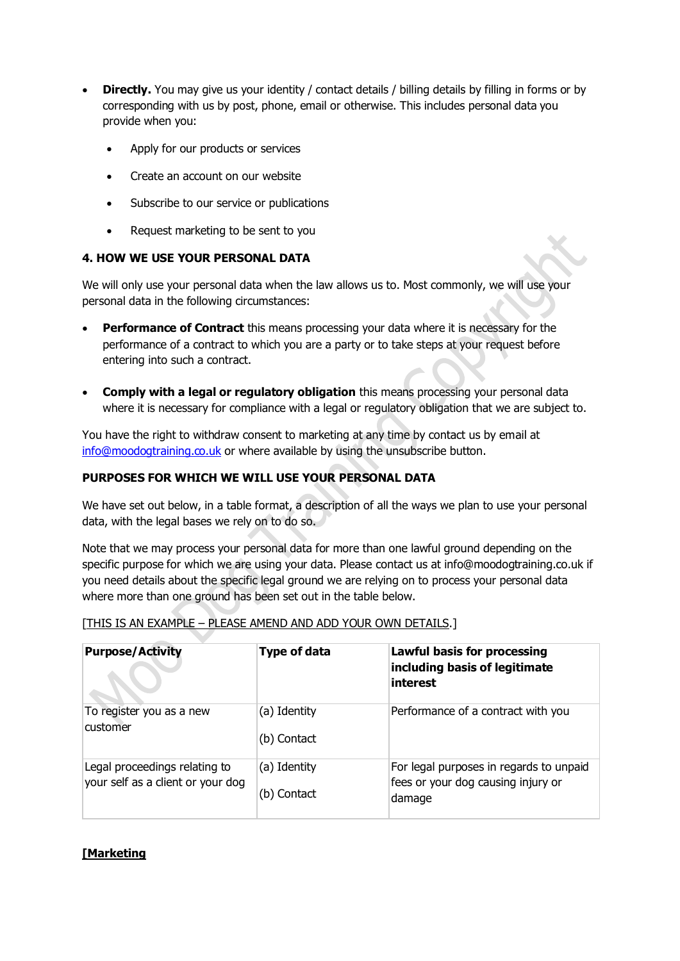- **Directly.** You may give us your identity / contact details / billing details by filling in forms or by corresponding with us by post, phone, email or otherwise. This includes personal data you provide when you:
	- Apply for our products or services
	- Create an account on our website
	- Subscribe to our service or publications
	- Request marketing to be sent to you

## **4. HOW WE USE YOUR PERSONAL DATA**

We will only use your personal data when the law allows us to. Most commonly, we will use your personal data in the following circumstances:

- **Performance of Contract** this means processing your data where it is necessary for the performance of a contract to which you are a party or to take steps at your request before entering into such a contract.
- **Comply with a legal or regulatory obligation** this means processing your personal data where it is necessary for compliance with a legal or regulatory obligation that we are subject to.

You have the right to withdraw consent to marketing at any time by contact us by email at  $info@modoqtraining.co.uk$  or where available by using the unsubscribe button.

## **PURPOSES FOR WHICH WE WILL USE YOUR PERSONAL DATA**

We have set out below, in a table format, a description of all the ways we plan to use your personal data, with the legal bases we rely on to do so.

Note that we may process your personal data for more than one lawful ground depending on the specific purpose for which we are using your data. Please contact us at info@moodogtraining.co.uk if you need details about the specific legal ground we are relying on to process your personal data where more than one ground has been set out in the table below.

| <b>Purpose/Activity</b>                                            | <b>Type of data</b>         | <b>Lawful basis for processing</b><br>including basis of legitimate<br>interest         |
|--------------------------------------------------------------------|-----------------------------|-----------------------------------------------------------------------------------------|
| To register you as a new<br>customer                               | (a) Identity<br>(b) Contact | Performance of a contract with you                                                      |
| Legal proceedings relating to<br>your self as a client or your dog | (a) Identity<br>(b) Contact | For legal purposes in regards to unpaid<br>fees or your dog causing injury or<br>damage |

[THIS IS AN EXAMPLE – PLEASE AMEND AND ADD YOUR OWN DETAILS.]

## **[Marketing**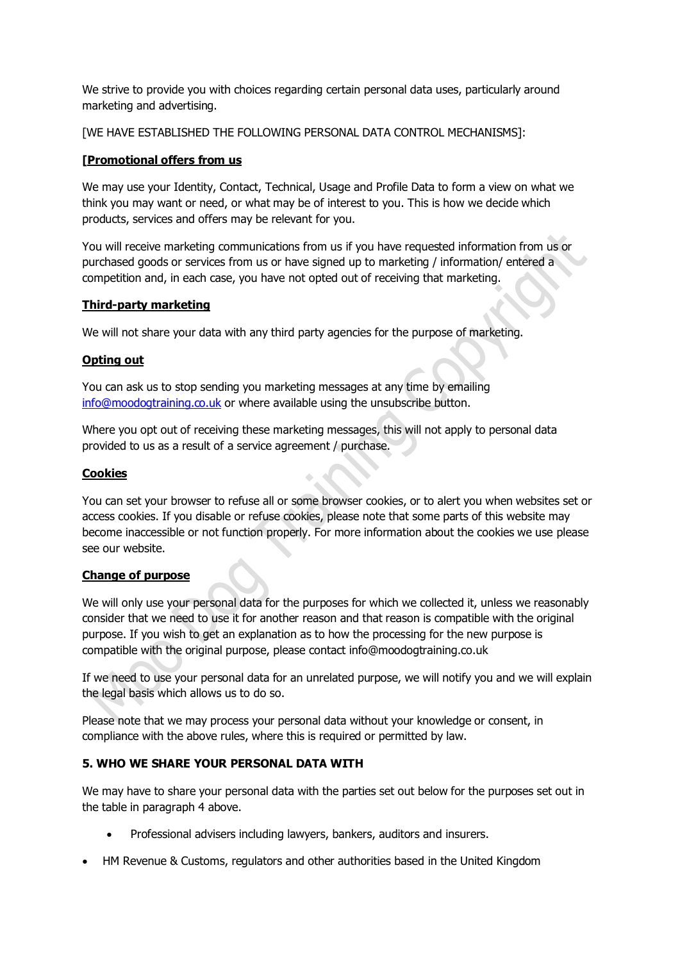We strive to provide you with choices regarding certain personal data uses, particularly around marketing and advertising.

[WE HAVE ESTABLISHED THE FOLLOWING PERSONAL DATA CONTROL MECHANISMS]:

### **[Promotional offers from us**

We may use your Identity, Contact, Technical, Usage and Profile Data to form a view on what we think you may want or need, or what may be of interest to you. This is how we decide which products, services and offers may be relevant for you.

You will receive marketing communications from us if you have requested information from us or purchased goods or services from us or have signed up to marketing / information/ entered a competition and, in each case, you have not opted out of receiving that marketing.

### **Third-party marketing**

We will not share your data with any third party agencies for the purpose of marketing.

### **Opting out**

You can ask us to stop sending you marketing messages at any time by emailing [info@moodogtraining.co.uk](mailto:info@moodogtraining.co.uk) or where available using the unsubscribe button.

Where you opt out of receiving these marketing messages, this will not apply to personal data provided to us as a result of a service agreement / purchase.

### **Cookies**

You can set your browser to refuse all or some browser cookies, or to alert you when websites set or access cookies. If you disable or refuse cookies, please note that some parts of this website may become inaccessible or not function properly. For more information about the cookies we use please see our website.

#### **Change of purpose**

We will only use your personal data for the purposes for which we collected it, unless we reasonably consider that we need to use it for another reason and that reason is compatible with the original purpose. If you wish to get an explanation as to how the processing for the new purpose is compatible with the original purpose, please contact info@moodogtraining.co.uk

If we need to use your personal data for an unrelated purpose, we will notify you and we will explain the legal basis which allows us to do so.

Please note that we may process your personal data without your knowledge or consent, in compliance with the above rules, where this is required or permitted by law.

## **5. WHO WE SHARE YOUR PERSONAL DATA WITH**

We may have to share your personal data with the parties set out below for the purposes set out in the table in paragraph 4 above.

- Professional advisers including lawyers, bankers, auditors and insurers.
- HM Revenue & Customs, regulators and other authorities based in the United Kingdom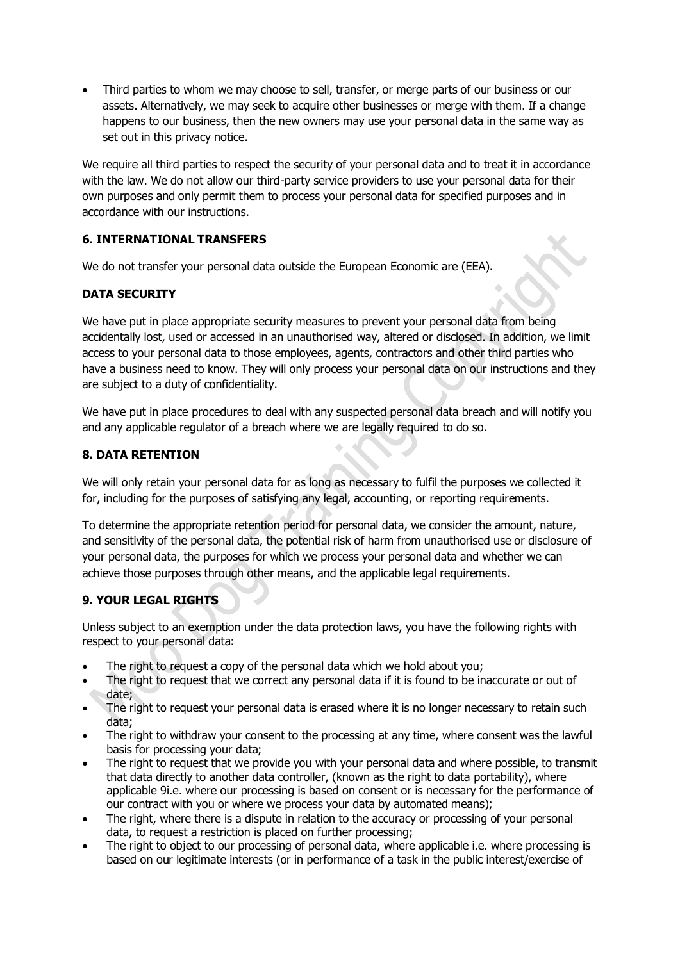• Third parties to whom we may choose to sell, transfer, or merge parts of our business or our assets. Alternatively, we may seek to acquire other businesses or merge with them. If a change happens to our business, then the new owners may use your personal data in the same way as set out in this privacy notice.

We require all third parties to respect the security of your personal data and to treat it in accordance with the law. We do not allow our third-party service providers to use your personal data for their own purposes and only permit them to process your personal data for specified purposes and in accordance with our instructions.

## **6. INTERNATIONAL TRANSFERS**

We do not transfer your personal data outside the European Economic are (EEA).

# **DATA SECURITY**

We have put in place appropriate security measures to prevent your personal data from being accidentally lost, used or accessed in an unauthorised way, altered or disclosed. In addition, we limit access to your personal data to those employees, agents, contractors and other third parties who have a business need to know. They will only process your personal data on our instructions and they are subject to a duty of confidentiality.

We have put in place procedures to deal with any suspected personal data breach and will notify you and any applicable regulator of a breach where we are legally required to do so.

## **8. DATA RETENTION**

We will only retain your personal data for as long as necessary to fulfil the purposes we collected it for, including for the purposes of satisfying any legal, accounting, or reporting requirements.

To determine the appropriate retention period for personal data, we consider the amount, nature, and sensitivity of the personal data, the potential risk of harm from unauthorised use or disclosure of your personal data, the purposes for which we process your personal data and whether we can achieve those purposes through other means, and the applicable legal requirements.

## **9. YOUR LEGAL RIGHTS**

Unless subject to an exemption under the data protection laws, you have the following rights with respect to your personal data:

- The right to request a copy of the personal data which we hold about you;
- The right to request that we correct any personal data if it is found to be inaccurate or out of date;
- The right to request your personal data is erased where it is no longer necessary to retain such data;
- The right to withdraw your consent to the processing at any time, where consent was the lawful basis for processing your data;
- The right to request that we provide you with your personal data and where possible, to transmit that data directly to another data controller, (known as the right to data portability), where applicable 9i.e. where our processing is based on consent or is necessary for the performance of our contract with you or where we process your data by automated means);
- The right, where there is a dispute in relation to the accuracy or processing of your personal data, to request a restriction is placed on further processing;
- The right to object to our processing of personal data, where applicable i.e. where processing is based on our legitimate interests (or in performance of a task in the public interest/exercise of